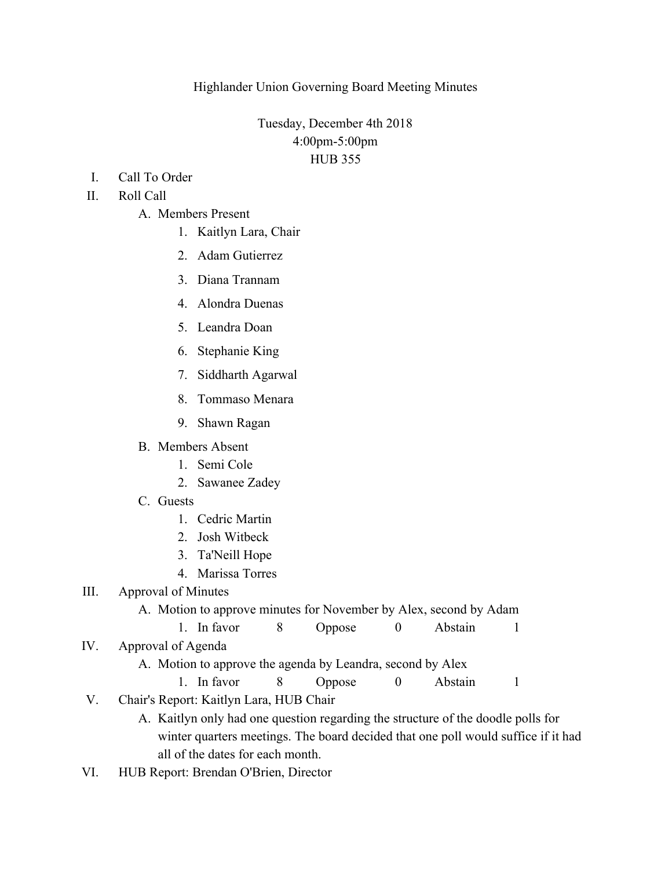Tuesday, December 4th 2018 4:00pm-5:00pm HUB 355

I. Call To Order

## II. Roll Call

- A. Members Present
	- 1. Kaitlyn Lara, Chair
	- 2. Adam Gutierrez
	- 3. Diana Trannam
	- 4. Alondra Duenas
	- 5. Leandra Doan
	- 6. Stephanie King
	- 7. Siddharth Agarwal
	- 8. Tommaso Menara
	- 9. Shawn Ragan
- B. Members Absent
	- 1. Semi Cole
	- 2. Sawanee Zadey
- C. Guests
	- 1. Cedric Martin
	- 2. Josh Witbeck
	- 3. Ta'Neill Hope
	- 4. Marissa Torres

## III. Approval of Minutes

## A. Motion to approve minutes for November by Alex, second by Adam

- 1. In favor 8 Oppose 0 Abstain 1
- IV. Approval of Agenda
	- A. Motion to approve the agenda by Leandra, second by Alex

1. In favor 8 Oppose 0 Abstain 1

- V. Chair's Report: Kaitlyn Lara, HUB Chair
	- A. Kaitlyn only had one question regarding the structure of the doodle polls for winter quarters meetings. The board decided that one poll would suffice if it had all of the dates for each month.
- VI. HUB Report: Brendan O'Brien, Director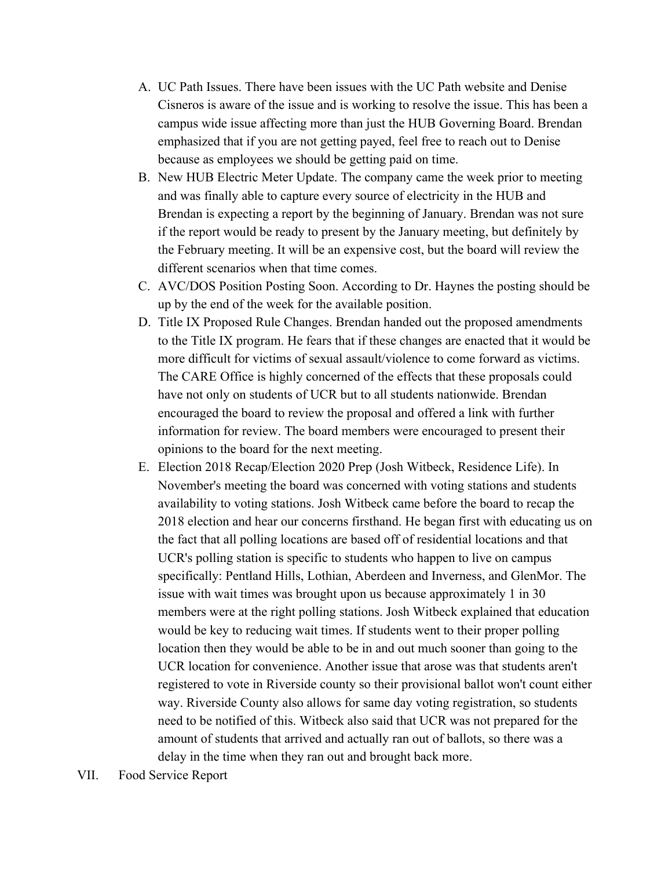- A. UC Path Issues. There have been issues with the UC Path website and Denise Cisneros is aware of the issue and is working to resolve the issue. This has been a campus wide issue affecting more than just the HUB Governing Board. Brendan emphasized that if you are not getting payed, feel free to reach out to Denise because as employees we should be getting paid on time.
- B. New HUB Electric Meter Update. The company came the week prior to meeting and was finally able to capture every source of electricity in the HUB and Brendan is expecting a report by the beginning of January. Brendan was not sure if the report would be ready to present by the January meeting, but definitely by the February meeting. It will be an expensive cost, but the board will review the different scenarios when that time comes.
- C. AVC/DOS Position Posting Soon. According to Dr. Haynes the posting should be up by the end of the week for the available position.
- D. Title IX Proposed Rule Changes. Brendan handed out the proposed amendments to the Title IX program. He fears that if these changes are enacted that it would be more difficult for victims of sexual assault/violence to come forward as victims. The CARE Office is highly concerned of the effects that these proposals could have not only on students of UCR but to all students nationwide. Brendan encouraged the board to review the proposal and offered a link with further information for review. The board members were encouraged to present their opinions to the board for the next meeting.
- E. Election 2018 Recap/Election 2020 Prep (Josh Witbeck, Residence Life). In November's meeting the board was concerned with voting stations and students availability to voting stations. Josh Witbeck came before the board to recap the 2018 election and hear our concerns firsthand. He began first with educating us on the fact that all polling locations are based off of residential locations and that UCR's polling station is specific to students who happen to live on campus specifically: Pentland Hills, Lothian, Aberdeen and Inverness, and GlenMor. The issue with wait times was brought upon us because approximately 1 in 30 members were at the right polling stations. Josh Witbeck explained that education would be key to reducing wait times. If students went to their proper polling location then they would be able to be in and out much sooner than going to the UCR location for convenience. Another issue that arose was that students aren't registered to vote in Riverside county so their provisional ballot won't count either way. Riverside County also allows for same day voting registration, so students need to be notified of this. Witbeck also said that UCR was not prepared for the amount of students that arrived and actually ran out of ballots, so there was a delay in the time when they ran out and brought back more.
- VII. Food Service Report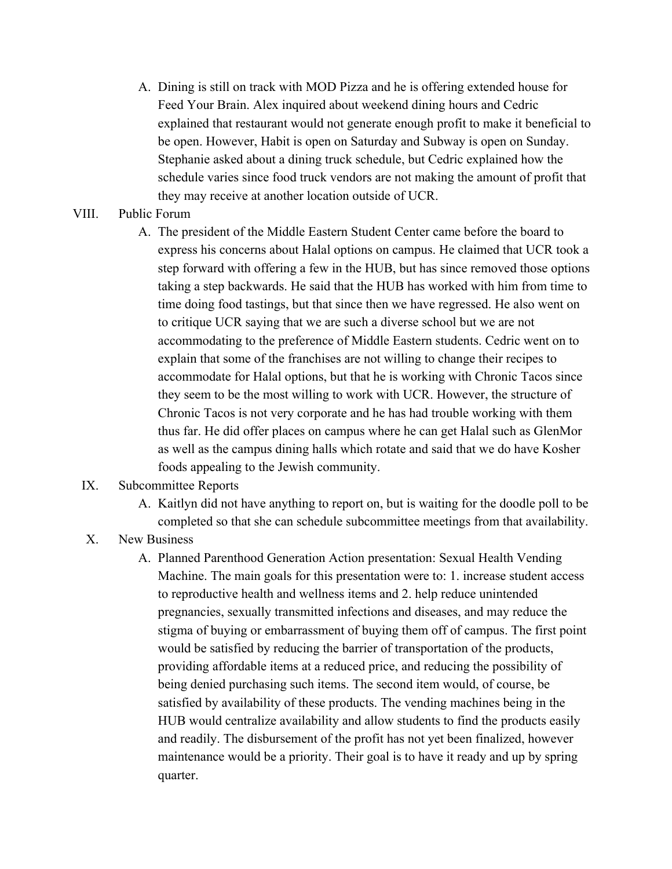- A. Dining is still on track with MOD Pizza and he is offering extended house for Feed Your Brain. Alex inquired about weekend dining hours and Cedric explained that restaurant would not generate enough profit to make it beneficial to be open. However, Habit is open on Saturday and Subway is open on Sunday. Stephanie asked about a dining truck schedule, but Cedric explained how the schedule varies since food truck vendors are not making the amount of profit that they may receive at another location outside of UCR.
- VIII. Public Forum
	- A. The president of the Middle Eastern Student Center came before the board to express his concerns about Halal options on campus. He claimed that UCR took a step forward with offering a few in the HUB, but has since removed those options taking a step backwards. He said that the HUB has worked with him from time to time doing food tastings, but that since then we have regressed. He also went on to critique UCR saying that we are such a diverse school but we are not accommodating to the preference of Middle Eastern students. Cedric went on to explain that some of the franchises are not willing to change their recipes to accommodate for Halal options, but that he is working with Chronic Tacos since they seem to be the most willing to work with UCR. However, the structure of Chronic Tacos is not very corporate and he has had trouble working with them thus far. He did offer places on campus where he can get Halal such as GlenMor as well as the campus dining halls which rotate and said that we do have Kosher foods appealing to the Jewish community.

## IX. Subcommittee Reports

- A. Kaitlyn did not have anything to report on, but is waiting for the doodle poll to be completed so that she can schedule subcommittee meetings from that availability.
- X. New Business
	- A. Planned Parenthood Generation Action presentation: Sexual Health Vending Machine. The main goals for this presentation were to: 1. increase student access to reproductive health and wellness items and 2. help reduce unintended pregnancies, sexually transmitted infections and diseases, and may reduce the stigma of buying or embarrassment of buying them off of campus. The first point would be satisfied by reducing the barrier of transportation of the products, providing affordable items at a reduced price, and reducing the possibility of being denied purchasing such items. The second item would, of course, be satisfied by availability of these products. The vending machines being in the HUB would centralize availability and allow students to find the products easily and readily. The disbursement of the profit has not yet been finalized, however maintenance would be a priority. Their goal is to have it ready and up by spring quarter.